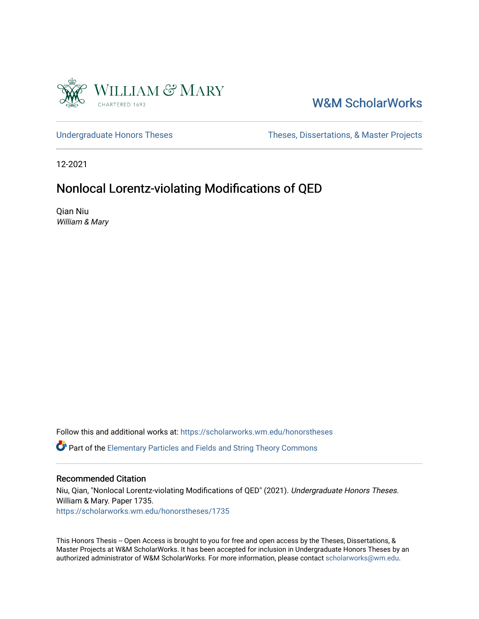

## [W&M ScholarWorks](https://scholarworks.wm.edu/)

[Undergraduate Honors Theses](https://scholarworks.wm.edu/honorstheses) Theses Theses, Dissertations, & Master Projects

12-2021

# Nonlocal Lorentz-violating Modifications of QED

Qian Niu William & Mary

Follow this and additional works at: [https://scholarworks.wm.edu/honorstheses](https://scholarworks.wm.edu/honorstheses?utm_source=scholarworks.wm.edu%2Fhonorstheses%2F1735&utm_medium=PDF&utm_campaign=PDFCoverPages)  Part of the [Elementary Particles and Fields and String Theory Commons](http://network.bepress.com/hgg/discipline/199?utm_source=scholarworks.wm.edu%2Fhonorstheses%2F1735&utm_medium=PDF&utm_campaign=PDFCoverPages)

#### Recommended Citation

Niu, Qian, "Nonlocal Lorentz-violating Modifications of QED" (2021). Undergraduate Honors Theses. William & Mary. Paper 1735. [https://scholarworks.wm.edu/honorstheses/1735](https://scholarworks.wm.edu/honorstheses/1735?utm_source=scholarworks.wm.edu%2Fhonorstheses%2F1735&utm_medium=PDF&utm_campaign=PDFCoverPages)

This Honors Thesis -- Open Access is brought to you for free and open access by the Theses, Dissertations, & Master Projects at W&M ScholarWorks. It has been accepted for inclusion in Undergraduate Honors Theses by an authorized administrator of W&M ScholarWorks. For more information, please contact [scholarworks@wm.edu](mailto:scholarworks@wm.edu).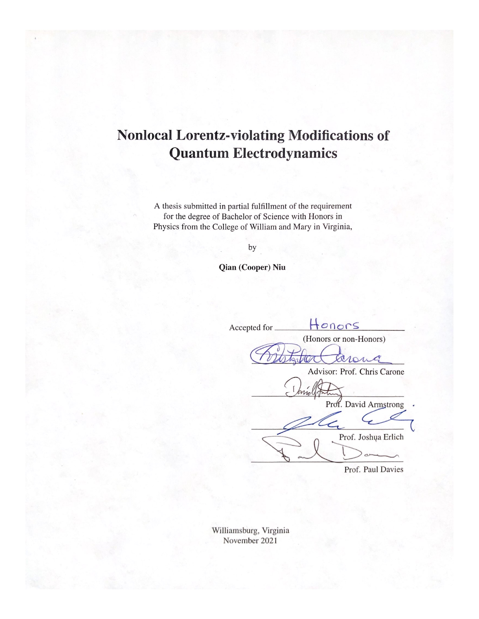# **Nonlocal Lorentz-violating Modifications of Quantum Electrodynamics**

A thesis submitted in partial fulfillment of the requirement for the degree of Bachelor of Science with Honors in Physics from the College of William and Mary in Virginia,

by

Qian (Cooper) Niu

Honors Accepted for (Honors or non-Honors) Jaroua dont Advisor: Prof. Chris Carone Prof. David Armstrong Z Prof. Joshua Erlich  $\overline{\phantom{0}}$ 

Prof. Paul Davies

Williamsburg, Virginia November 2021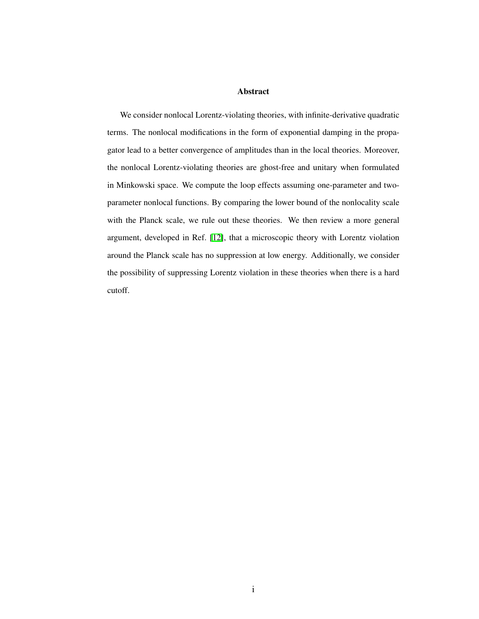#### Abstract

We consider nonlocal Lorentz-violating theories, with infinite-derivative quadratic terms. The nonlocal modifications in the form of exponential damping in the propagator lead to a better convergence of amplitudes than in the local theories. Moreover, the nonlocal Lorentz-violating theories are ghost-free and unitary when formulated in Minkowski space. We compute the loop effects assuming one-parameter and twoparameter nonlocal functions. By comparing the lower bound of the nonlocality scale with the Planck scale, we rule out these theories. We then review a more general argument, developed in Ref. [\[12\]](#page-33-0), that a microscopic theory with Lorentz violation around the Planck scale has no suppression at low energy. Additionally, we consider the possibility of suppressing Lorentz violation in these theories when there is a hard cutoff.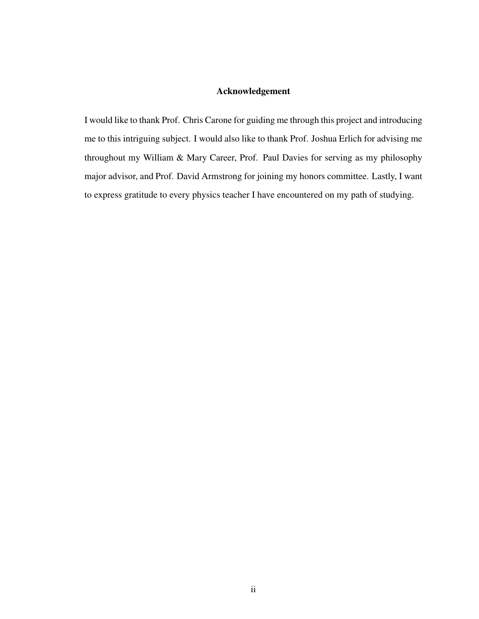#### Acknowledgement

I would like to thank Prof. Chris Carone for guiding me through this project and introducing me to this intriguing subject. I would also like to thank Prof. Joshua Erlich for advising me throughout my William & Mary Career, Prof. Paul Davies for serving as my philosophy major advisor, and Prof. David Armstrong for joining my honors committee. Lastly, I want to express gratitude to every physics teacher I have encountered on my path of studying.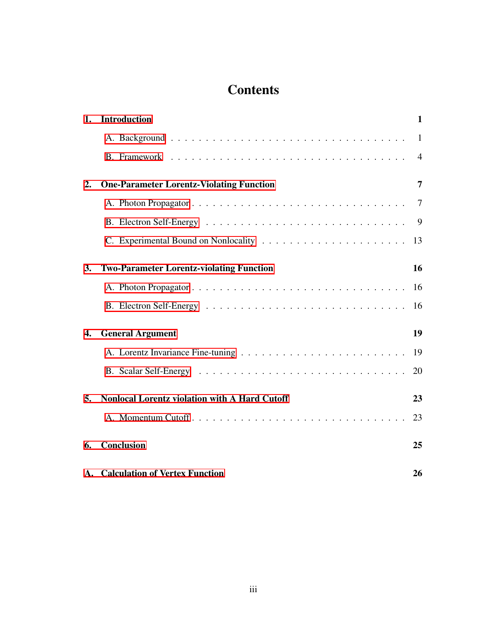# **Contents**

| $\overline{1.}$  | <b>Introduction</b>                                  | $\mathbf{1}$   |
|------------------|------------------------------------------------------|----------------|
|                  |                                                      | $\mathbf{1}$   |
|                  |                                                      | $\overline{4}$ |
| $\overline{2}$ . | <b>One-Parameter Lorentz-Violating Function</b>      | 7              |
|                  |                                                      | 7              |
|                  |                                                      | 9              |
|                  |                                                      | 13             |
| $\overline{3}$ . | <b>Two-Parameter Lorentz-violating Function</b>      | 16             |
|                  |                                                      | 16             |
|                  |                                                      | 16             |
| 4.               | <b>General Argument</b>                              | 19             |
|                  |                                                      | 19             |
|                  |                                                      | 20             |
| l5.              | <b>Nonlocal Lorentz violation with A Hard Cutoff</b> | 23             |
|                  |                                                      | 23             |
| 6.               | <b>Conclusion</b>                                    | 25             |
|                  | <b>A.</b> Calculation of Vertex Function             | 26             |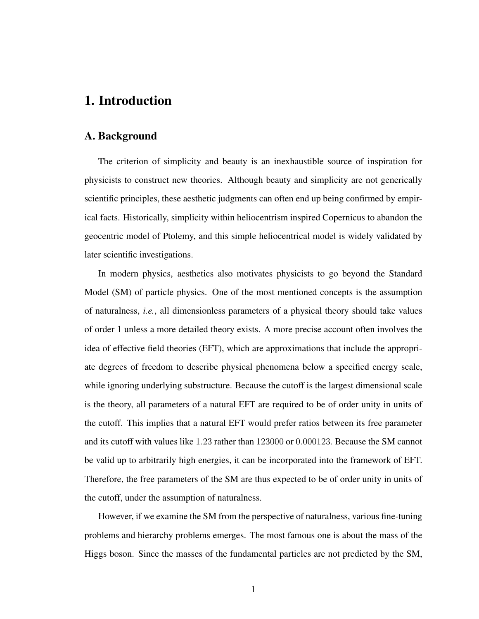### <span id="page-5-0"></span>1. Introduction

#### <span id="page-5-1"></span>A. Background

The criterion of simplicity and beauty is an inexhaustible source of inspiration for physicists to construct new theories. Although beauty and simplicity are not generically scientific principles, these aesthetic judgments can often end up being confirmed by empirical facts. Historically, simplicity within heliocentrism inspired Copernicus to abandon the geocentric model of Ptolemy, and this simple heliocentrical model is widely validated by later scientific investigations.

In modern physics, aesthetics also motivates physicists to go beyond the Standard Model (SM) of particle physics. One of the most mentioned concepts is the assumption of naturalness, *i.e.*, all dimensionless parameters of a physical theory should take values of order 1 unless a more detailed theory exists. A more precise account often involves the idea of effective field theories (EFT), which are approximations that include the appropriate degrees of freedom to describe physical phenomena below a specified energy scale, while ignoring underlying substructure. Because the cutoff is the largest dimensional scale is the theory, all parameters of a natural EFT are required to be of order unity in units of the cutoff. This implies that a natural EFT would prefer ratios between its free parameter and its cutoff with values like 1*.*23 rather than 123000 or 0*.*000123*.* Because the SM cannot be valid up to arbitrarily high energies, it can be incorporated into the framework of EFT. Therefore, the free parameters of the SM are thus expected to be of order unity in units of the cutoff, under the assumption of naturalness.

However, if we examine the SM from the perspective of naturalness, various fine-tuning problems and hierarchy problems emerges. The most famous one is about the mass of the Higgs boson. Since the masses of the fundamental particles are not predicted by the SM,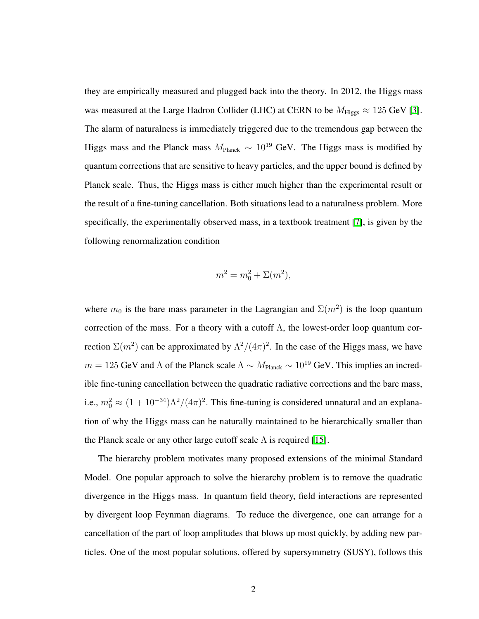they are empirically measured and plugged back into the theory. In 2012, the Higgs mass was measured at the Large Hadron Collider (LHC) at CERN to be  $M_{\text{Higgs}} \approx 125 \text{ GeV}$  [\[3\]](#page-32-0). The alarm of naturalness is immediately triggered due to the tremendous gap between the Higgs mass and the Planck mass  $M_{\text{Planck}} \sim 10^{19} \text{ GeV}$ . The Higgs mass is modified by quantum corrections that are sensitive to heavy particles, and the upper bound is defined by Planck scale. Thus, the Higgs mass is either much higher than the experimental result or the result of a fine-tuning cancellation. Both situations lead to a naturalness problem. More specifically, the experimentally observed mass, in a textbook treatment  $[7]$ , is given by the following renormalization condition

$$
m^2 = m_0^2 + \Sigma(m^2),
$$

where  $m_0$  is the bare mass parameter in the Lagrangian and  $\Sigma(m^2)$  is the loop quantum correction of the mass. For a theory with a cutoff  $\Lambda$ , the lowest-order loop quantum correction  $\Sigma(m^2)$  can be approximated by  $\Lambda^2/(4\pi)^2$ . In the case of the Higgs mass, we have  $m = 125$  GeV and  $\Lambda$  of the Planck scale  $\Lambda \sim M_{\text{Planck}} \sim 10^{19}$  GeV. This implies an incredible fine-tuning cancellation between the quadratic radiative corrections and the bare mass, i.e.,  $m_0^2 \approx (1 + 10^{-34})\Lambda^2/(4\pi)^2$ . This fine-tuning is considered unnatural and an explanation of why the Higgs mass can be naturally maintained to be hierarchically smaller than the Planck scale or any other large cutoff scale  $\Lambda$  is required [\[15\]](#page-33-1).

The hierarchy problem motivates many proposed extensions of the minimal Standard Model. One popular approach to solve the hierarchy problem is to remove the quadratic divergence in the Higgs mass. In quantum field theory, field interactions are represented by divergent loop Feynman diagrams. To reduce the divergence, one can arrange for a cancellation of the part of loop amplitudes that blows up most quickly, by adding new particles. One of the most popular solutions, offered by supersymmetry (SUSY), follows this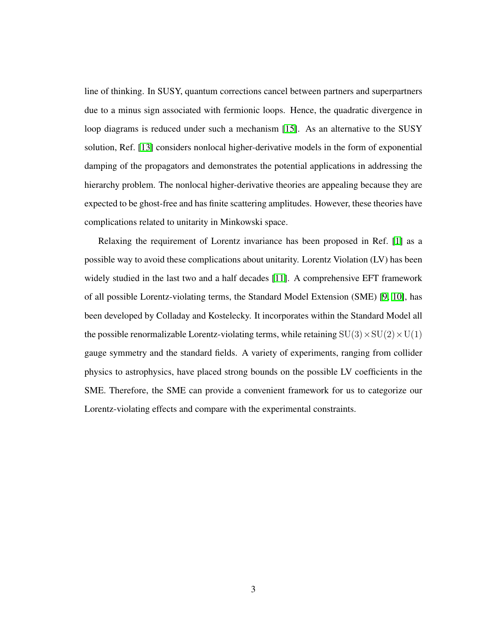line of thinking. In SUSY, quantum corrections cancel between partners and superpartners due to a minus sign associated with fermionic loops. Hence, the quadratic divergence in loop diagrams is reduced under such a mechanism [\[15\]](#page-33-1). As an alternative to the SUSY solution, Ref. [\[13\]](#page-33-2) considers nonlocal higher-derivative models in the form of exponential damping of the propagators and demonstrates the potential applications in addressing the hierarchy problem. The nonlocal higher-derivative theories are appealing because they are expected to be ghost-free and has finite scattering amplitudes. However, these theories have complications related to unitarity in Minkowski space.

Relaxing the requirement of Lorentz invariance has been proposed in Ref.  $[1]$  as a possible way to avoid these complications about unitarity. Lorentz Violation (LV) has been widely studied in the last two and a half decades  $[11]$ . A comprehensive EFT framework of all possible Lorentz-violating terms, the Standard Model Extension (SME)  $[9, 10]$  $[9, 10]$ , has been developed by Colladay and Kostelecky. It incorporates within the Standard Model all the possible renormalizable Lorentz-violating terms, while retaining  $SU(3) \times SU(2) \times U(1)$ gauge symmetry and the standard fields. A variety of experiments, ranging from collider physics to astrophysics, have placed strong bounds on the possible LV coefficients in the SME. Therefore, the SME can provide a convenient framework for us to categorize our Lorentz-violating effects and compare with the experimental constraints.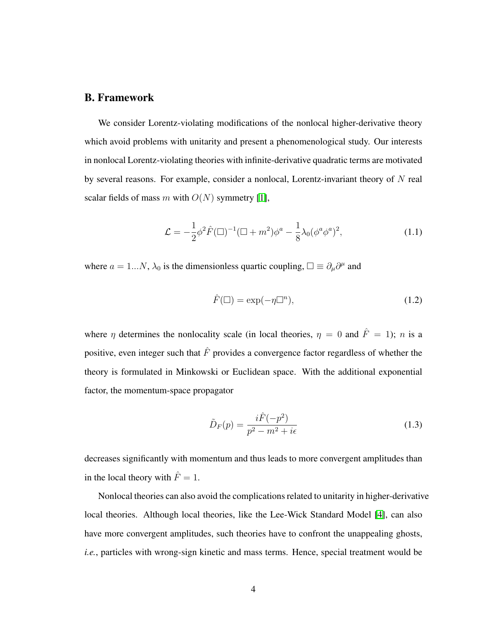#### <span id="page-8-0"></span>B. Framework

We consider Lorentz-violating modifications of the nonlocal higher-derivative theory which avoid problems with unitarity and present a phenomenological study. Our interests in nonlocal Lorentz-violating theories with infinite-derivative quadratic terms are motivated by several reasons. For example, consider a nonlocal, Lorentz-invariant theory of *N* real scalar fields of mass *m* with  $O(N)$  symmetry  $\boxed{1}$ ,

<span id="page-8-3"></span>
$$
\mathcal{L} = -\frac{1}{2}\phi^2 \hat{F}(\Box)^{-1}(\Box + m^2)\phi^a - \frac{1}{8}\lambda_0(\phi^a \phi^a)^2, \tag{1.1}
$$

where  $a = 1...N$ ,  $\lambda_0$  is the dimensionless quartic coupling,  $\square \equiv \partial_\mu \partial^\mu$  and

<span id="page-8-1"></span>
$$
\hat{F}(\square) = \exp(-\eta \square^n),\tag{1.2}
$$

where  $\eta$  determines the nonlocality scale (in local theories,  $\eta = 0$  and  $\hat{F} = 1$ ); *n* is a positive, even integer such that  $\hat{F}$  provides a convergence factor regardless of whether the theory is formulated in Minkowski or Euclidean space. With the additional exponential factor, the momentum-space propagator

<span id="page-8-2"></span>
$$
\tilde{D}_F(p) = \frac{i\hat{F}(-p^2)}{p^2 - m^2 + i\epsilon}
$$
\n(1.3)

decreases significantly with momentum and thus leads to more convergent amplitudes than in the local theory with  $\hat{F} = 1$ .

Nonlocal theories can also avoid the complications related to unitarity in higher-derivative local theories. Although local theories, like the Lee-Wick Standard Model  $[4]$ , can also have more convergent amplitudes, such theories have to confront the unappealing ghosts, *i.e.*, particles with wrong-sign kinetic and mass terms. Hence, special treatment would be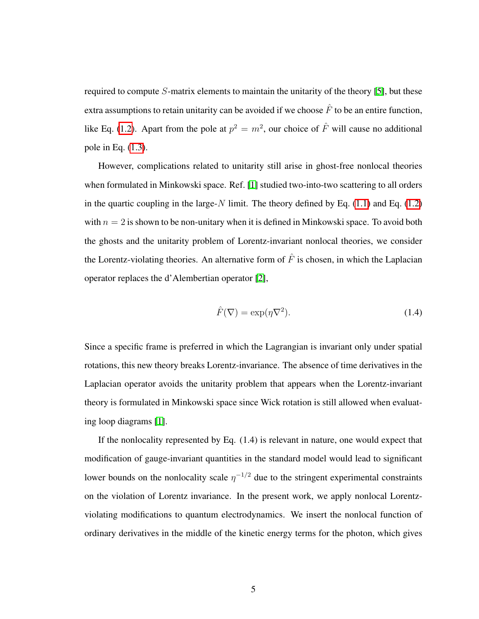required to compute *S*-matrix elements to maintain the unitarity of the theory  $\tilde{S}$ , but these extra assumptions to retain unitarity can be avoided if we choose  $\hat{F}$  to be an entire function, like Eq. [\(1.2\)](#page-8-1). Apart from the pole at  $p^2 = m^2$ , our choice of  $\hat{F}$  will cause no additional pole in Eq.  $(1.3)$ .

However, complications related to unitarity still arise in ghost-free nonlocal theories when formulated in Minkowski space. Ref.  $\left[\frac{1}{1}\right]$  studied two-into-two scattering to all orders in the quartic coupling in the large-*N* limit. The theory defined by Eq.  $(1.1)$  and Eq.  $(1.2)$ with  $n = 2$  is shown to be non-unitary when it is defined in Minkowski space. To avoid both the ghosts and the unitarity problem of Lorentz-invariant nonlocal theories, we consider the Lorentz-violating theories. An alternative form of  $\hat{F}$  is chosen, in which the Laplacian operator replaces the d'Alembertian operator [\[2\]](#page-32-5),

<span id="page-9-0"></span>
$$
\hat{F}(\nabla) = \exp(\eta \nabla^2). \tag{1.4}
$$

Since a specific frame is preferred in which the Lagrangian is invariant only under spatial rotations, this new theory breaks Lorentz-invariance. The absence of time derivatives in the Laplacian operator avoids the unitarity problem that appears when the Lorentz-invariant theory is formulated in Minkowski space since Wick rotation is still allowed when evaluating loop diagrams  $\left[\frac{1}{\sqrt{2}}\right]$ .

If the nonlocality represented by Eq. (1.4) is relevant in nature, one would expect that modification of gauge-invariant quantities in the standard model would lead to significant lower bounds on the nonlocality scale  $\eta^{-1/2}$  due to the stringent experimental constraints on the violation of Lorentz invariance. In the present work, we apply nonlocal Lorentzviolating modifications to quantum electrodynamics. We insert the nonlocal function of ordinary derivatives in the middle of the kinetic energy terms for the photon, which gives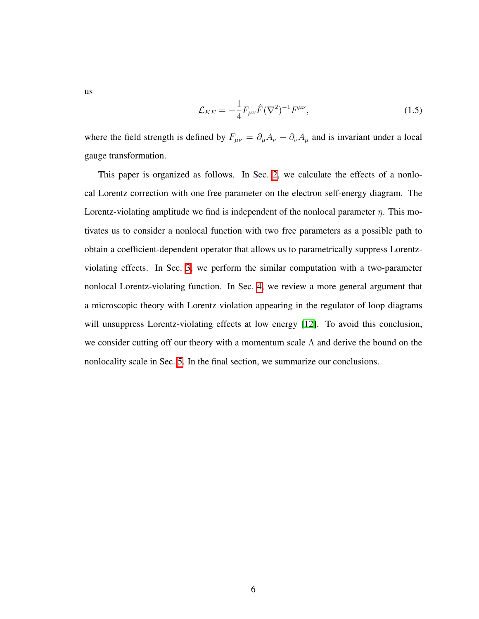us

<span id="page-10-0"></span>
$$
\mathcal{L}_{KE} = -\frac{1}{4} F_{\mu\nu} \hat{F} (\nabla^2)^{-1} F^{\mu\nu}, \qquad (1.5)
$$

where the field strength is defined by  $F_{\mu\nu} = \partial_{\mu}A_{\nu} - \partial_{\nu}A_{\mu}$  and is invariant under a local gauge transformation.

This paper is organized as follows. In Sec.  $\boxed{2}$ , we calculate the effects of a nonlocal Lorentz correction with one free parameter on the electron self-energy diagram. The Lorentz-violating amplitude we find is independent of the nonlocal parameter  $\eta$ . This motivates us to consider a nonlocal function with two free parameters as a possible path to obtain a coefficient-dependent operator that allows us to parametrically suppress Lorentzviolating effects. In Sec.  $\overline{3}$ , we perform the similar computation with a two-parameter nonlocal Lorentz-violating function. In Sec.  $\frac{A}{x}$  we review a more general argument that a microscopic theory with Lorentz violation appearing in the regulator of loop diagrams will unsuppress Lorentz-violating effects at low energy  $[12]$ . To avoid this conclusion, we consider cutting off our theory with a momentum scale  $\Lambda$  and derive the bound on the nonlocality scale in Sec.  $\overline{5}$ . In the final section, we summarize our conclusions.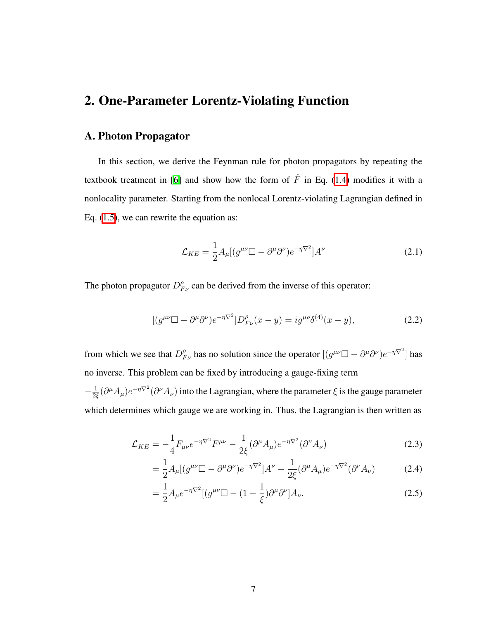### <span id="page-11-0"></span>2. One-Parameter Lorentz-Violating Function

#### <span id="page-11-1"></span>A. Photon Propagator

In this section, we derive the Feynman rule for photon propagators by repeating the textbook treatment in  $\overline{[6]}$  $\overline{[6]}$  $\overline{[6]}$  and show how the form of  $\hat{F}$  in Eq.  $\overline{(1.4)}$  $\overline{(1.4)}$  $\overline{(1.4)}$  modifies it with a nonlocality parameter. Starting from the nonlocal Lorentz-violating Lagrangian defined in Eq.  $(1.5)$ , we can rewrite the equation as:

$$
\mathcal{L}_{KE} = \frac{1}{2} A_{\mu} [(g^{\mu\nu} \Box - \partial^{\mu} \partial^{\nu}) e^{-\eta \nabla^2}] A^{\nu}
$$
 (2.1)

The photon propagator  $D_{F\nu}^{\rho}$  can be derived from the inverse of this operator:

$$
[(g^{\mu\nu}\Box - \partial^{\mu}\partial^{\nu})e^{-\eta\nabla^2}]D_{F\nu}^{\rho}(x-y) = ig^{\mu\rho}\delta^{(4)}(x-y), \qquad (2.2)
$$

from which we see that  $D_{F\nu}^{\rho}$  has no solution since the operator  $[(g^{\mu\nu} \Box - \partial^{\mu} \partial^{\nu})e^{-\eta \nabla^2}]$  has no inverse. This problem can be fixed by introducing a gauge-fixing term

 $-\frac{1}{2\xi}(\partial^{\mu}A_{\mu})e^{-\eta\nabla^{2}}(\partial^{\nu}A_{\nu})$  into the Lagrangian, where the parameter  $\xi$  is the gauge parameter which determines which gauge we are working in. Thus, the Lagrangian is then written as

$$
\mathcal{L}_{KE} = -\frac{1}{4} F_{\mu\nu} e^{-\eta \nabla^2} F^{\mu\nu} - \frac{1}{2\xi} (\partial^\mu A_\mu) e^{-\eta \nabla^2} (\partial^\nu A_\nu)
$$
(2.3)

$$
= \frac{1}{2}A_{\mu}[(g^{\mu\nu}\Box - \partial^{\mu}\partial^{\nu})e^{-\eta\nabla^2}]A^{\nu} - \frac{1}{2\xi}(\partial^{\mu}A_{\mu})e^{-\eta\nabla^2}(\partial^{\nu}A_{\nu})
$$
(2.4)

$$
=\frac{1}{2}A_{\mu}e^{-\eta\nabla^{2}}[(g^{\mu\nu}\Box-(1-\frac{1}{\xi})\partial^{\mu}\partial^{\nu}]A_{\nu}.
$$
\n(2.5)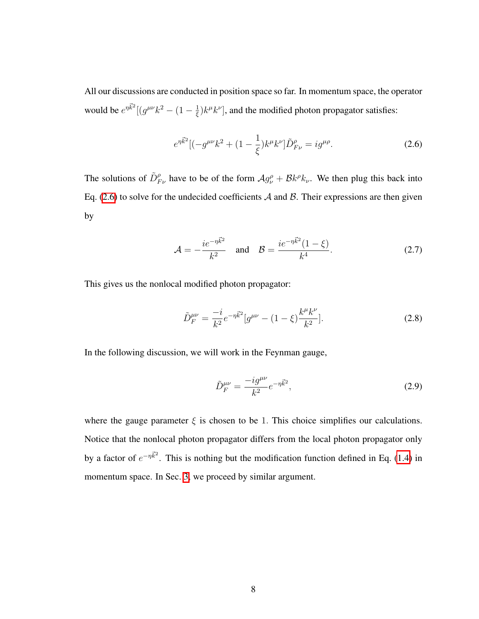All our discussions are conducted in position space so far. In momentum space, the operator would be  $e^{\eta \vec{k}^2} [(g^{\mu\nu}k^2 - (1 - \frac{1}{\xi})k^{\mu}k^{\nu}]$ , and the modified photon propagator satisfies:

<span id="page-12-0"></span>
$$
e^{\eta \vec{k}^2} [(-g^{\mu \nu} k^2 + (1 - \frac{1}{\xi}) k^{\mu} k^{\nu}] \tilde{D}^{\rho}_{F \nu} = i g^{\mu \rho}.
$$
 (2.6)

The solutions of  $\tilde{D}_{F\nu}^{\rho}$  have to be of the form  $\mathcal{A}g_{\nu}^{\rho} + \mathcal{B}k^{\rho}k_{\nu}$ . We then plug this back into Eq.  $(2.6)$  to solve for the undecided coefficients *A* and *B*. Their expressions are then given by

$$
\mathcal{A} = -\frac{ie^{-\eta \vec{k}^2}}{k^2} \quad \text{and} \quad \mathcal{B} = \frac{ie^{-\eta \vec{k}^2} (1 - \xi)}{k^4}.
$$
 (2.7)

This gives us the nonlocal modified photon propagator:

$$
\tilde{D}_F^{\mu\nu} = \frac{-i}{k^2} e^{-\eta \vec{k}^2} [g^{\mu\nu} - (1 - \xi) \frac{k^{\mu} k^{\nu}}{k^2}].
$$
\n(2.8)

In the following discussion, we will work in the Feynman gauge,

$$
\tilde{D}_F^{\mu\nu} = \frac{-ig^{\mu\nu}}{k^2} e^{-\eta \vec{k}^2},\tag{2.9}
$$

where the gauge parameter  $\xi$  is chosen to be 1. This choice simplifies our calculations. Notice that the nonlocal photon propagator differs from the local photon propagator only by a factor of  $e^{-\eta \vec{k}^2}$ . This is nothing but the modification function defined in Eq.  $(1.4)$  in momentum space. In Sec.  $\boxed{3}$ , we proceed by similar argument.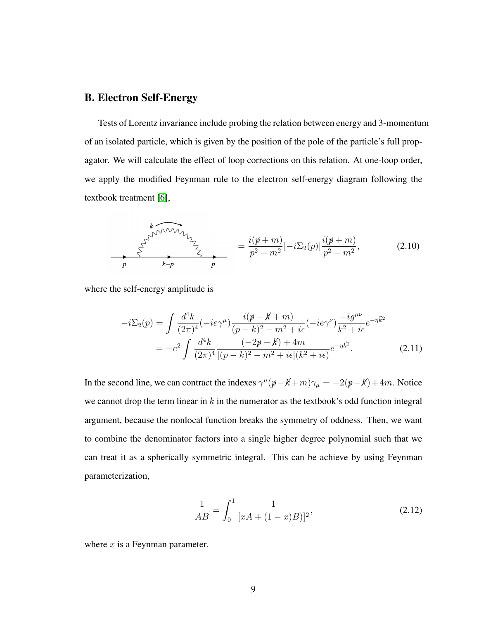#### <span id="page-13-0"></span>B. Electron Self-Energy

Tests of Lorentz invariance include probing the relation between energy and 3-momentum of an isolated particle, which is given by the position of the pole of the particle's full propagator. We will calculate the effect of loop corrections on this relation. At one-loop order, we apply the modified Feynman rule to the electron self-energy diagram following the textbook treatment  $[6]$ ,

$$
\sum_{p}^{k} \sum_{k-p}^{\sqrt{N}N} \sum_{p}^{n} = \frac{i(p+m)}{p^2 - m^2} [-i\Sigma_2(p)] \frac{i(p+m)}{p^2 - m^2},
$$
 (2.10)

where the self-energy amplitude is

$$
-i\Sigma_2(p) = \int \frac{d^4k}{(2\pi)^4} (-ie\gamma^\mu) \frac{i(p-k+m)}{(p-k)^2 - m^2 + i\epsilon} (-ie\gamma^\nu) \frac{-ig^{\mu\nu}}{k^2 + i\epsilon} e^{-\eta \vec{k}^2}
$$
  
= 
$$
-e^2 \int \frac{d^4k}{(2\pi)^4} \frac{(-2p-k) + 4m}{[(p-k)^2 - m^2 + i\epsilon](k^2 + i\epsilon)} e^{-\eta \vec{k}^2}.
$$
 (2.11)

In the second line, we can contract the indexes  $\gamma^{\mu}(\not p - \not k + m)\gamma_{\mu} = -2(\not p - \not k) + 4m$ . Notice we cannot drop the term linear in *k* in the numerator as the textbook's odd function integral argument, because the nonlocal function breaks the symmetry of oddness. Then, we want to combine the denominator factors into a single higher degree polynomial such that we can treat it as a spherically symmetric integral. This can be achieve by using Feynman parameterization,

<span id="page-13-1"></span>
$$
\frac{1}{AB} = \int_0^1 \frac{1}{[xA + (1-x)B)]^2},\tag{2.12}
$$

where *x* is a Feynman parameter.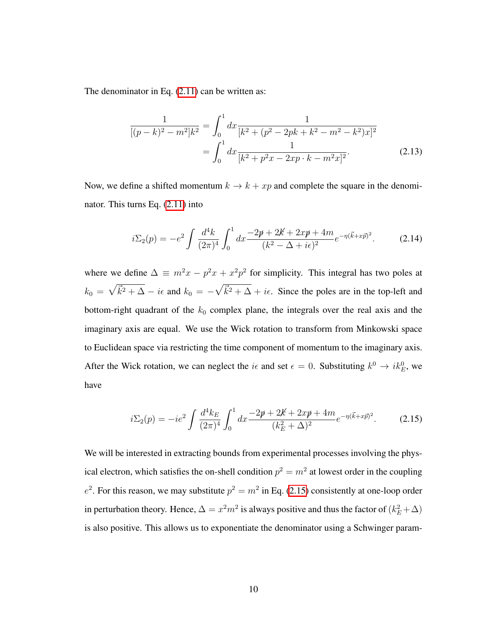The denominator in Eq.  $(2.11)$  can be written as:

$$
\frac{1}{[(p-k)^2 - m^2]k^2} = \int_0^1 dx \frac{1}{[k^2 + (p^2 - 2pk + k^2 - m^2 - k^2)x]^2}
$$

$$
= \int_0^1 dx \frac{1}{[k^2 + p^2x - 2xp \cdot k - m^2x]^2}.
$$
(2.13)

Now, we define a shifted momentum  $k \to k + xp$  and complete the square in the denominator. This turns Eq.  $(2.11)$  into

$$
i\Sigma_2(p) = -e^2 \int \frac{d^4k}{(2\pi)^4} \int_0^1 dx \frac{-2p + 2k + 2xp + 4m}{(k^2 - \Delta + i\epsilon)^2} e^{-\eta(\vec{k} + x\vec{p})^2}.
$$
 (2.14)

where we define  $\Delta \equiv m^2x - p^2x + x^2p^2$  for simplicity. This integral has two poles at  $k_0 = \sqrt{\vec{k}^2 + \Delta} - i\epsilon$  and  $k_0 = -\sqrt{\vec{k}^2 + \Delta} + i\epsilon$ . Since the poles are in the top-left and bottom-right quadrant of the  $k_0$  complex plane, the integrals over the real axis and the imaginary axis are equal. We use the Wick rotation to transform from Minkowski space to Euclidean space via restricting the time component of momentum to the imaginary axis. After the Wick rotation, we can neglect the  $i\epsilon$  and set  $\epsilon = 0$ . Substituting  $k^0 \to ik_E^0$ , we have

<span id="page-14-0"></span>
$$
i\Sigma_2(p) = -ie^2 \int \frac{d^4k_E}{(2\pi)^4} \int_0^1 dx \frac{-2p + 2k + 2x\mathbf{p} + 4m}{(k_E^2 + \Delta)^2} e^{-\eta(\vec{k} + x\vec{p})^2}.
$$
 (2.15)

We will be interested in extracting bounds from experimental processes involving the physical electron, which satisfies the on-shell condition  $p^2 = m^2$  at lowest order in the coupling  $e^2$ . For this reason, we may substitute  $p^2 = m^2$  in Eq. [\(2.15\)](#page-14-0) consistently at one-loop order in perturbation theory. Hence,  $\Delta = x^2m^2$  is always positive and thus the factor of  $(k_E^2 + \Delta)$ is also positive. This allows us to exponentiate the denominator using a Schwinger param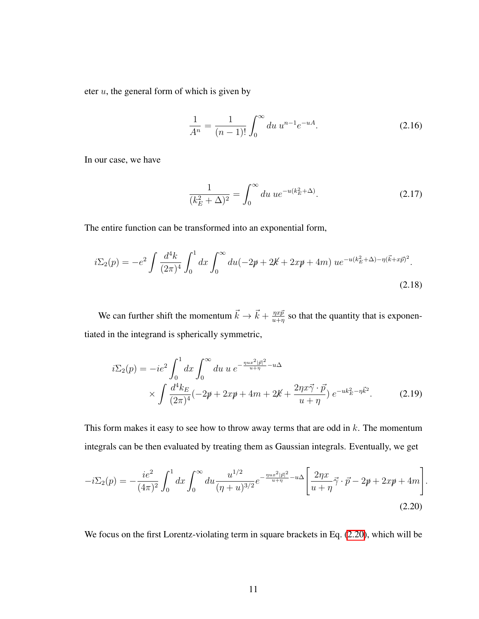eter *u*, the general form of which is given by

$$
\frac{1}{A^n} = \frac{1}{(n-1)!} \int_0^\infty du \, u^{n-1} e^{-uA}.
$$
\n(2.16)

In our case, we have

$$
\frac{1}{(k_E^2 + \Delta)^2} = \int_0^\infty du \, u e^{-u(k_E^2 + \Delta)}.
$$
\n(2.17)

The entire function can be transformed into an exponential form,

$$
i\Sigma_2(p) = -e^2 \int \frac{d^4k}{(2\pi)^4} \int_0^1 dx \int_0^\infty du (-2p + 2k + 2xp + 4m) \, u e^{-u(k_E^2 + \Delta) - \eta(\vec{k} + x\vec{p})^2}.
$$
\n(2.18)

We can further shift the momentum  $\vec{k} \to \vec{k} + \frac{\eta x \vec{p}}{u + \eta}$  so that the quantity that is exponentiated in the integrand is spherically symmetric,

$$
i\Sigma_2(p) = -ie^2 \int_0^1 dx \int_0^\infty du \, u \, e^{-\frac{\eta u x^2 |\vec{p}|^2}{u+\eta} - u\Delta} \times \int \frac{d^4 k_E}{(2\pi)^4} (-2p + 2x\mathfrak{p} + 4m + 2\mathfrak{k} + \frac{2\eta x \vec{\gamma} \cdot \vec{p}}{u+\eta}) \, e^{-uk_E^2 - \eta \vec{k}^2}.
$$
 (2.19)

This form makes it easy to see how to throw away terms that are odd in *k*. The momentum integrals can be then evaluated by treating them as Gaussian integrals. Eventually, we get

$$
-i\Sigma_2(p) = -\frac{ie^2}{(4\pi)^2} \int_0^1 dx \int_0^\infty du \frac{u^{1/2}}{(\eta+u)^{3/2}} e^{-\frac{\eta ux^2|\vec{p}|^2}{u+\eta}-u\Delta} \left[ \frac{2\eta x}{u+\eta} \vec{\gamma} \cdot \vec{p} - 2\vec{p} + 2x\vec{p} + 4m \right]
$$
(2.20)

<span id="page-15-0"></span>*.*

We focus on the first Lorentz-violating term in square brackets in Eq.  $(2.20)$ , which will be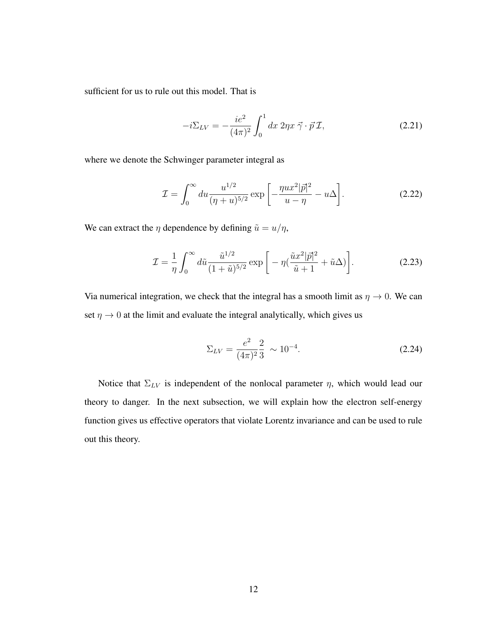sufficient for us to rule out this model. That is

<span id="page-16-1"></span>
$$
-i\Sigma_{LV} = -\frac{ie^2}{(4\pi)^2} \int_0^1 dx \ 2\eta x \ \vec{\gamma} \cdot \vec{p} \mathcal{I},\tag{2.21}
$$

where we denote the Schwinger parameter integral as

$$
\mathcal{I} = \int_0^\infty du \frac{u^{1/2}}{(\eta + u)^{5/2}} \exp\left[-\frac{\eta ux^2 |\vec{p}|^2}{u - \eta} - u\Delta\right].
$$
 (2.22)

We can extract the  $\eta$  dependence by defining  $\tilde{u} = u/\eta$ ,

$$
\mathcal{I} = \frac{1}{\eta} \int_0^\infty d\tilde{u} \frac{\tilde{u}^{1/2}}{(1+\tilde{u})^{5/2}} \exp\left[-\eta(\frac{\tilde{u}x^2|\vec{p}|^2}{\tilde{u}+1} + \tilde{u}\Delta)\right].
$$
 (2.23)

Via numerical integration, we check that the integral has a smooth limit as  $\eta \to 0$ . We can set  $\eta \rightarrow 0$  at the limit and evaluate the integral analytically, which gives us

<span id="page-16-0"></span>
$$
\Sigma_{LV} = \frac{e^2}{(4\pi)^2} \frac{2}{3} \sim 10^{-4}.
$$
\n(2.24)

Notice that  $\Sigma_{LV}$  is independent of the nonlocal parameter  $\eta$ , which would lead our theory to danger. In the next subsection, we will explain how the electron self-energy function gives us effective operators that violate Lorentz invariance and can be used to rule out this theory.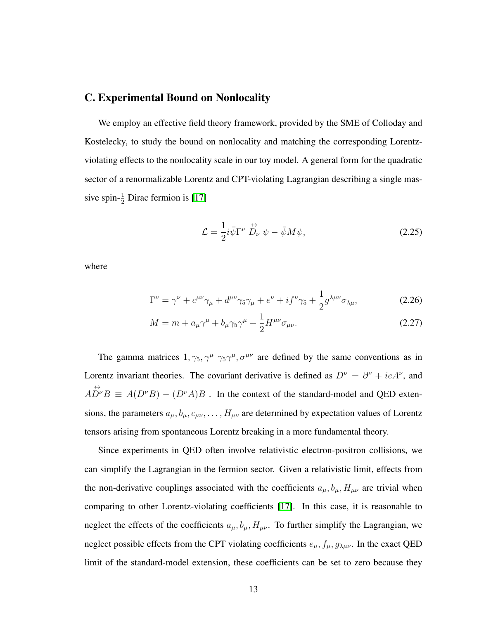#### <span id="page-17-0"></span>C. Experimental Bound on Nonlocality

We employ an effective field theory framework, provided by the SME of Colloday and Kostelecky, to study the bound on nonlocality and matching the corresponding Lorentzviolating effects to the nonlocality scale in our toy model. A general form for the quadratic sector of a renormalizable Lorentz and CPT-violating Lagrangian describing a single massive spin- $\frac{1}{2}$  Dirac fermion is [\[17\]](#page-33-6)

$$
\mathcal{L} = \frac{1}{2} i \bar{\psi} \Gamma^{\nu} \stackrel{\leftrightarrow}{D_{\nu}} \psi - \bar{\psi} M \psi, \qquad (2.25)
$$

where

$$
\Gamma^{\nu} = \gamma^{\nu} + c^{\mu\nu}\gamma_{\mu} + d^{\mu\nu}\gamma_5\gamma_{\mu} + e^{\nu} + if^{\nu}\gamma_5 + \frac{1}{2}g^{\lambda\mu\nu}\sigma_{\lambda\mu},\tag{2.26}
$$

$$
M = m + a_{\mu}\gamma^{\mu} + b_{\mu}\gamma_5\gamma^{\mu} + \frac{1}{2}H^{\mu\nu}\sigma_{\mu\nu}.
$$
 (2.27)

The gamma matrices  $1, \gamma_5, \gamma^\mu, \gamma_5 \gamma^\mu, \sigma^{\mu\nu}$  are defined by the same conventions as in Lorentz invariant theories. The covariant derivative is defined as  $D^{\nu} = \partial^{\nu} + ieA^{\nu}$ , and  $\overrightarrow{AD}^{\prime\prime}B \equiv A(D^{\prime\prime}B) - (D^{\prime\prime}A)B$ . In the context of the standard-model and QED extensions, the parameters  $a_{\mu}, b_{\mu}, c_{\mu\nu}, \dots, H_{\mu\nu}$  are determined by expectation values of Lorentz tensors arising from spontaneous Lorentz breaking in a more fundamental theory.

Since experiments in QED often involve relativistic electron-positron collisions, we can simplify the Lagrangian in the fermion sector. Given a relativistic limit, effects from the non-derivative couplings associated with the coefficients  $a_{\mu}, b_{\mu}, H_{\mu\nu}$  are trivial when comparing to other Lorentz-violating coefficients  $[17]$ . In this case, it is reasonable to neglect the effects of the coefficients  $a_{\mu}, b_{\mu}, H_{\mu\nu}$ . To further simplify the Lagrangian, we neglect possible effects from the CPT violating coefficients  $e_{\mu}$ ,  $f_{\mu}$ ,  $g_{\lambda\mu\nu}$ . In the exact QED limit of the standard-model extension, these coefficients can be set to zero because they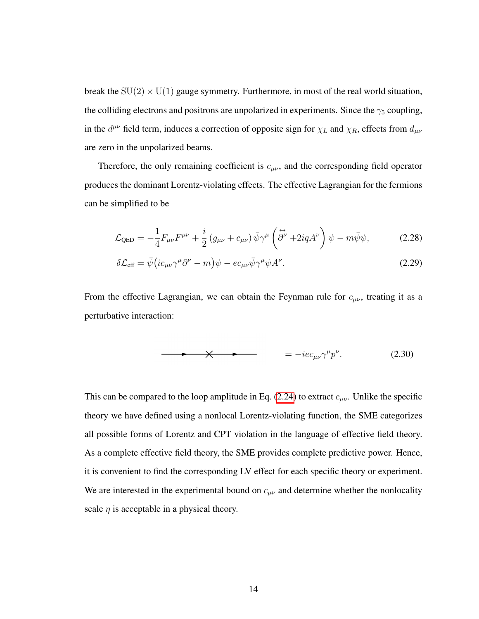break the  $SU(2) \times U(1)$  gauge symmetry. Furthermore, in most of the real world situation, the colliding electrons and positrons are unpolarized in experiments. Since the  $\gamma_5$  coupling, in the  $d^{\mu\nu}$  field term, induces a correction of opposite sign for  $\chi_L$  and  $\chi_R$ , effects from  $d_{\mu\nu}$ are zero in the unpolarized beams.

Therefore, the only remaining coefficient is  $c_{\mu\nu}$ , and the corresponding field operator produces the dominant Lorentz-violating effects. The effective Lagrangian for the fermions can be simplified to be

$$
\mathcal{L}_{\text{QED}} = -\frac{1}{4} F_{\mu\nu} F^{\mu\nu} + \frac{i}{2} \left( g_{\mu\nu} + c_{\mu\nu} \right) \bar{\psi} \gamma^{\mu} \left( \stackrel{\leftrightarrow}{\partial}^{\nu} + 2iqA^{\nu} \right) \psi - m \bar{\psi} \psi, \tag{2.28}
$$

$$
\delta \mathcal{L}_{\text{eff}} = \bar{\psi} \left( i c_{\mu\nu} \gamma^{\mu} \partial^{\nu} - m \right) \psi - e c_{\mu\nu} \bar{\psi} \gamma^{\mu} \psi A^{\nu}.
$$
 (2.29)

From the effective Lagrangian, we can obtain the Feynman rule for  $c_{\mu\nu}$ , treating it as a perturbative interaction:

$$
\longrightarrow \qquad \times \qquad \qquad = -ie c_{\mu\nu} \gamma^{\mu} p^{\nu}.
$$
 (2.30)

This can be compared to the loop amplitude in Eq.  $(2.24)$  to extract  $c_{\mu\nu}$ . Unlike the specific theory we have defined using a nonlocal Lorentz-violating function, the SME categorizes all possible forms of Lorentz and CPT violation in the language of effective field theory. As a complete effective field theory, the SME provides complete predictive power. Hence, it is convenient to find the corresponding LV effect for each specific theory or experiment. We are interested in the experimental bound on  $c_{\mu\nu}$  and determine whether the nonlocality scale  $\eta$  is acceptable in a physical theory.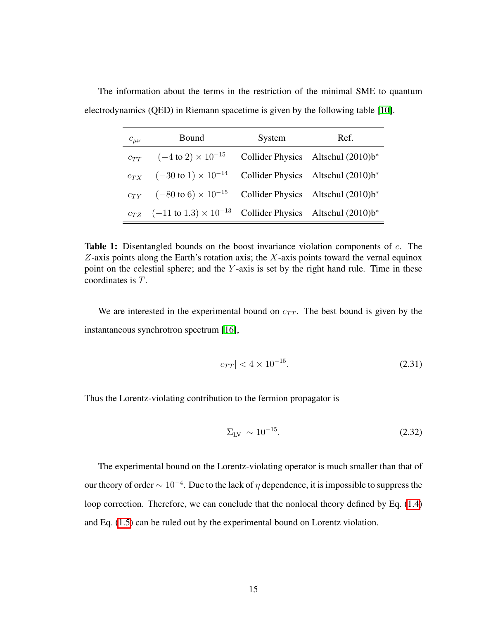| $c_{\mu\nu}$ | Bound                                                                                    | System | Ref.                               |
|--------------|------------------------------------------------------------------------------------------|--------|------------------------------------|
|              | $c_{TT}$ $(-4 \text{ to } 2) \times 10^{-15}$                                            |        | Collider Physics Altschul (2010)b* |
|              | $c_{TX}$ $(-30 \text{ to } 1) \times 10^{-14}$                                           |        | Collider Physics Altschul (2010)b* |
|              | $c_{TY}$ $(-80 \text{ to } 6) \times 10^{-15}$                                           |        | Collider Physics Altschul (2010)b* |
|              | $c_{TZ}$ (-11 to 1.3) × 10 <sup>-13</sup> Collider Physics Altschul (2010)b <sup>*</sup> |        |                                    |

The information about the terms in the restriction of the minimal SME to quantum electrodynamics (QED) in Riemann spacetime is given by the following table [\[10\]](#page-33-5).

Table 1: Disentangled bounds on the boost invariance violation components of *c*. The *Z*-axis points along the Earth's rotation axis; the *X*-axis points toward the vernal equinox point on the celestial sphere; and the *Y*-axis is set by the right hand rule. Time in these coordinates is *T*.

We are interested in the experimental bound on  $c_{TT}$ . The best bound is given by the instantaneous synchrotron spectrum [\[16\]](#page-33-7),

$$
|c_{TT}| < 4 \times 10^{-15}.\tag{2.31}
$$

Thus the Lorentz-violating contribution to the fermion propagator is

<span id="page-19-0"></span>
$$
\Sigma_{\rm LV} \sim 10^{-15}.
$$
\n(2.32)

The experimental bound on the Lorentz-violating operator is much smaller than that of our theory of order  $\sim 10^{-4}$ . Due to the lack of  $\eta$  dependence, it is impossible to suppress the loop correction. Therefore, we can conclude that the nonlocal theory defined by Eq.  $(1.4)$ and Eq.  $(1.5)$  can be ruled out by the experimental bound on Lorentz violation.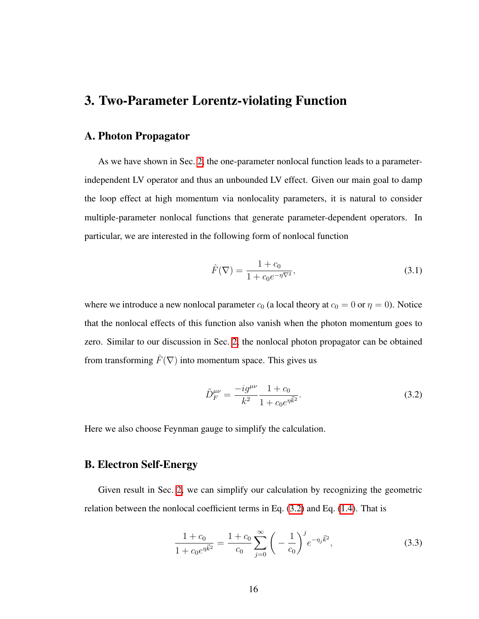### <span id="page-20-0"></span>3. Two-Parameter Lorentz-violating Function

#### <span id="page-20-1"></span>A. Photon Propagator

As we have shown in Sec.  $\overline{2}$ , the one-parameter nonlocal function leads to a parameterindependent LV operator and thus an unbounded LV effect. Given our main goal to damp the loop effect at high momentum via nonlocality parameters, it is natural to consider multiple-parameter nonlocal functions that generate parameter-dependent operators. In particular, we are interested in the following form of nonlocal function

$$
\hat{F}(\nabla) = \frac{1 + c_0}{1 + c_0 e^{-\eta \nabla^2}},
$$
\n(3.1)

where we introduce a new nonlocal parameter  $c_0$  (a local theory at  $c_0 = 0$  or  $\eta = 0$ ). Notice that the nonlocal effects of this function also vanish when the photon momentum goes to zero. Similar to our discussion in Sec.  $\sqrt{2}$ , the nonlocal photon propagator can be obtained from transforming  $\hat{F}(\nabla)$  into momentum space. This gives us

<span id="page-20-3"></span>
$$
\tilde{D}_F^{\mu\nu} = \frac{-ig^{\mu\nu}}{k^2} \frac{1 + c_0}{1 + c_0 e^{\eta \vec{k}^2}}.
$$
\n(3.2)

<span id="page-20-2"></span>Here we also choose Feynman gauge to simplify the calculation.

#### B. Electron Self-Energy

Given result in Sec.  $\boxed{2}$ , we can simplify our calculation by recognizing the geometric relation between the nonlocal coefficient terms in Eq.  $(3.2)$  and Eq.  $(1.4)$ . That is

$$
\frac{1+c_0}{1+c_0e^{\eta \vec{k}^2}} = \frac{1+c_0}{c_0} \sum_{j=0}^{\infty} \left( -\frac{1}{c_0} \right)^j e^{-\eta_j \vec{k}^2},
$$
\n(3.3)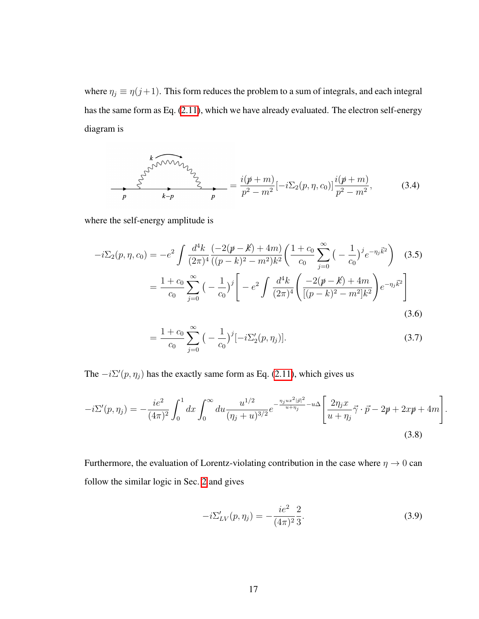where  $\eta_j \equiv \eta(j+1)$ . This form reduces the problem to a sum of integrals, and each integral has the same form as Eq.  $(2.11)$ , which we have already evaluated. The electron self-energy diagram is

$$
\frac{\sum_{k=p}^{k} \sqrt{N} N V_{1}}{p} = \frac{i(p+m)}{p^{2}-m^{2}} [-i\Sigma_{2}(p,\eta,c_{0})] \frac{i(p+m)}{p^{2}-m^{2}},
$$
(3.4)

where the self-energy amplitude is

$$
-i\Sigma_2(p,\eta,c_0) = -e^2 \int \frac{d^4k}{(2\pi)^4} \frac{(-2(p-k)+4m)}{((p-k)^2-m^2)k^2} \left(\frac{1+c_0}{c_0} \sum_{j=0}^{\infty} \left(-\frac{1}{c_0}\right)^j e^{-\eta_j \vec{k}^2}\right)
$$
(3.5)  

$$
= \frac{1+c_0}{c_0} \sum_{j=0}^{\infty} \left(-\frac{1}{c_0}\right)^j \left[-e^2 \int \frac{d^4k}{(2\pi)^4} \left(\frac{-2(p-k)+4m}{[(p-k)^2-m^2]k^2}\right) e^{-\eta_j \vec{k}^2}\right]
$$
(3.6)

$$
=\frac{1+c_0}{c_0}\sum_{j=0}^{\infty}(-\frac{1}{c_0})^j[-i\Sigma_2'(p,\eta_j)].
$$
\n(3.7)

The  $-i\Sigma'(p, \eta_j)$  has the exactly same form as Eq. [\(2.11\)](#page-13-1), which gives us

$$
-i\Sigma'(p,\eta_j) = -\frac{ie^2}{(4\pi)^2} \int_0^1 dx \int_0^\infty du \frac{u^{1/2}}{(\eta_j + u)^{3/2}} e^{-\frac{\eta_j u x^2 |\vec{p}|^2}{u + \eta_j}} -u\Delta \left[ \frac{2\eta_j x}{u + \eta_j} \vec{\gamma} \cdot \vec{p} - 2\vec{p} + 2x\vec{p} + 4m \right]
$$
(3.8)

Furthermore, the evaluation of Lorentz-violating contribution in the case where  $\eta \to 0$  can follow the similar logic in Sec.  $\sqrt{2}$  and gives

$$
-i\Sigma'_{LV}(p,\eta_j) = -\frac{ie^2}{(4\pi)^2}\frac{2}{3}.
$$
\n(3.9)

*.*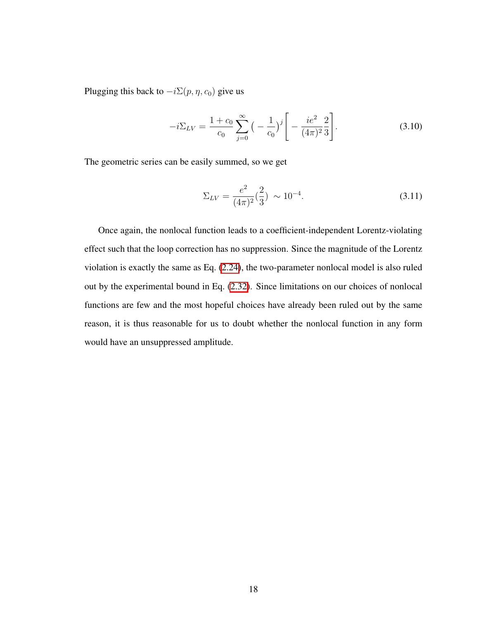Plugging this back to  $-i\Sigma(p, \eta, c_0)$  give us

$$
-i\Sigma_{LV} = \frac{1+c_0}{c_0} \sum_{j=0}^{\infty} \left( -\frac{1}{c_0} \right)^j \left[ -\frac{ie^2}{(4\pi)^2} \frac{2}{3} \right].
$$
 (3.10)

The geometric series can be easily summed, so we get

$$
\Sigma_{LV} = \frac{e^2}{(4\pi)^2} \left(\frac{2}{3}\right) \sim 10^{-4}.\tag{3.11}
$$

Once again, the nonlocal function leads to a coefficient-independent Lorentz-violating effect such that the loop correction has no suppression. Since the magnitude of the Lorentz violation is exactly the same as Eq.  $(2.24)$ , the two-parameter nonlocal model is also ruled out by the experimental bound in Eq.  $(2.32)$ . Since limitations on our choices of nonlocal functions are few and the most hopeful choices have already been ruled out by the same reason, it is thus reasonable for us to doubt whether the nonlocal function in any form would have an unsuppressed amplitude.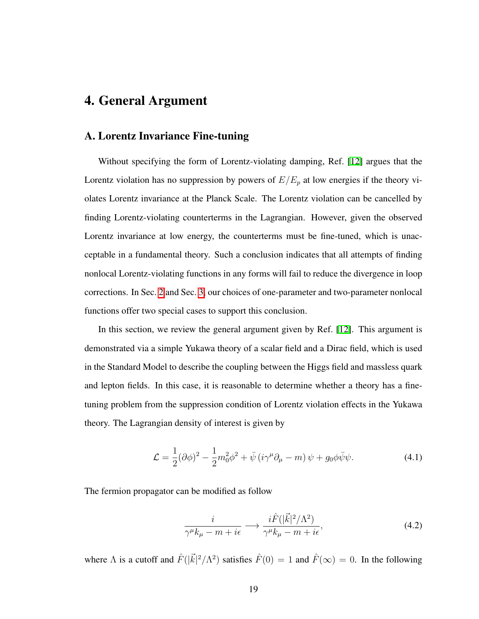### <span id="page-23-0"></span>4. General Argument

#### <span id="page-23-1"></span>A. Lorentz Invariance Fine-tuning

Without specifying the form of Lorentz-violating damping, Ref. [\[12\]](#page-33-0) argues that the Lorentz violation has no suppression by powers of  $E/E_p$  at low energies if the theory violates Lorentz invariance at the Planck Scale. The Lorentz violation can be cancelled by finding Lorentz-violating counterterms in the Lagrangian. However, given the observed Lorentz invariance at low energy, the counterterms must be fine-tuned, which is unacceptable in a fundamental theory. Such a conclusion indicates that all attempts of finding nonlocal Lorentz-violating functions in any forms will fail to reduce the divergence in loop corrections. In Sec.  $\sqrt{2}$  and Sec.  $\sqrt{3}$ , our choices of one-parameter and two-parameter nonlocal functions offer two special cases to support this conclusion.

In this section, we review the general argument given by Ref.  $[12]$ . This argument is demonstrated via a simple Yukawa theory of a scalar field and a Dirac field, which is used in the Standard Model to describe the coupling between the Higgs field and massless quark and lepton fields. In this case, it is reasonable to determine whether a theory has a finetuning problem from the suppression condition of Lorentz violation effects in the Yukawa theory. The Lagrangian density of interest is given by

$$
\mathcal{L} = \frac{1}{2} (\partial \phi)^2 - \frac{1}{2} m_0^2 \phi^2 + \bar{\psi} \left( i \gamma^\mu \partial_\mu - m \right) \psi + g_0 \phi \bar{\psi} \psi. \tag{4.1}
$$

The fermion propagator can be modified as follow

$$
\frac{i}{\gamma^{\mu}k_{\mu}-m+i\epsilon} \longrightarrow \frac{i\hat{F}(|\vec{k}|^{2}/\Lambda^{2})}{\gamma^{\mu}k_{\mu}-m+i\epsilon},
$$
\n(4.2)

where  $\Lambda$  is a cutoff and  $\hat{F}(|\vec{k}|^2/\Lambda^2)$  satisfies  $\hat{F}(0) = 1$  and  $\hat{F}(\infty) = 0$ . In the following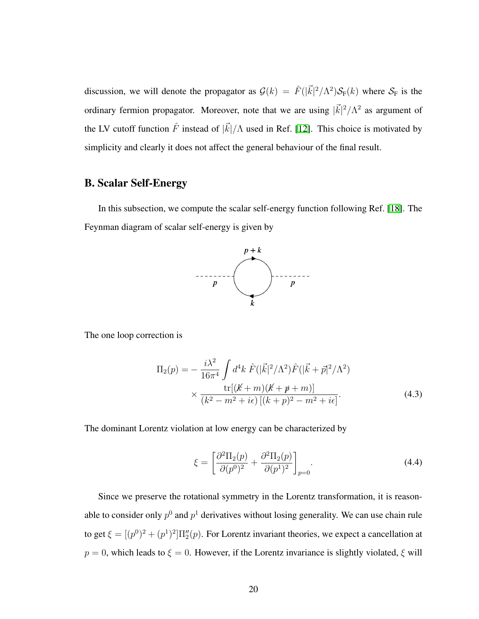discussion, we will denote the propagator as  $G(k) = \hat{F}(|\vec{k}|^2/\Lambda^2)S_F(k)$  where  $S_F$  is the ordinary fermion propagator. Moreover, note that we are using  $|\vec{k}|^2/\Lambda^2$  as argument of the LV cutoff function  $\hat{F}$  instead of  $|\vec{k}|/\Lambda$  used in Ref. [\[12\]](#page-33-0). This choice is motivated by simplicity and clearly it does not affect the general behaviour of the final result.

#### <span id="page-24-0"></span>B. Scalar Self-Energy

In this subsection, we compute the scalar self-energy function following Ref. [\[18\]](#page-34-0). The Feynman diagram of scalar self-energy is given by



The one loop correction is

$$
\Pi_2(p) = -\frac{i\lambda^2}{16\pi^4} \int d^4k \ \hat{F}(|\vec{k}|^2/\Lambda^2) \hat{F}(|\vec{k} + \vec{p}|^2/\Lambda^2) \times \frac{\text{tr}[(\cancel{K} + m)(\cancel{K} + \cancel{p} + m)]}{(\cancel{k^2 - m^2 + i\epsilon} [(\cancel{k} + \cancel{p})^2 - m^2 + i\epsilon]}.
$$
\n(4.3)

The dominant Lorentz violation at low energy can be characterized by

$$
\xi = \left[\frac{\partial^2 \Pi_2(p)}{\partial (p^0)^2} + \frac{\partial^2 \Pi_2(p)}{\partial (p^1)^2}\right]_{p=0}.
$$
\n(4.4)

Since we preserve the rotational symmetry in the Lorentz transformation, it is reasonable to consider only  $p^0$  and  $p^1$  derivatives without losing generality. We can use chain rule to get  $\xi = [(p^0)^2 + (p^1)^2] \Pi_2''(p)$ . For Lorentz invariant theories, we expect a cancellation at  $p = 0$ , which leads to  $\xi = 0$ . However, if the Lorentz invariance is slightly violated,  $\xi$  will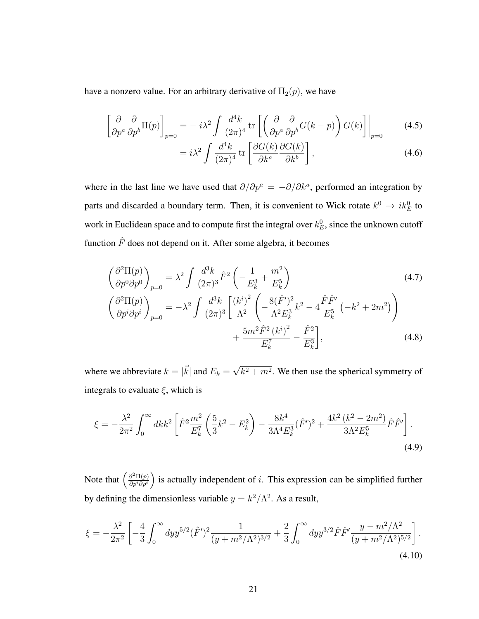have a nonzero value. For an arbitrary derivative of  $\Pi_2(p)$ , we have

$$
\left[\frac{\partial}{\partial p^a} \frac{\partial}{\partial p^b} \Pi(p)\right]_{p=0} = -i\lambda^2 \int \frac{d^4k}{(2\pi)^4} \operatorname{tr}\left[\left(\frac{\partial}{\partial p^a} \frac{\partial}{\partial p^b} G(k-p)\right) G(k)\right]\Big|_{p=0} \tag{4.5}
$$

$$
= i\lambda^2 \int \frac{d^4k}{(2\pi)^4} \operatorname{tr} \left[ \frac{\partial G(k)}{\partial k^a} \frac{\partial G(k)}{\partial k^b} \right], \tag{4.6}
$$

where in the last line we have used that  $\partial/\partial p^a = -\partial/\partial k^a$ , performed an integration by parts and discarded a boundary term. Then, it is convenient to Wick rotate  $k^0 \rightarrow ik_E^0$  to work in Euclidean space and to compute first the integral over  $k_E^0$ , since the unknown cutoff function  $\hat{F}$  does not depend on it. After some algebra, it becomes

$$
\left(\frac{\partial^2 \Pi(p)}{\partial p^0 \partial p^0}\right)_{p=0} = \lambda^2 \int \frac{d^3 k}{(2\pi)^3} \hat{F}^2 \left(-\frac{1}{E_k^3} + \frac{m^2}{E_k^5}\right)
$$
\n
$$
\left(\frac{\partial^2 \Pi(p)}{\partial p^i \partial p^i}\right)_{p=0} = -\lambda^2 \int \frac{d^3 k}{(2\pi)^3} \left[\frac{(k^i)^2}{\Lambda^2} \left(-\frac{8(\hat{F}')^2}{\Lambda^2 E_k^3} k^2 - 4\frac{\hat{F}\hat{F}'}{E_k^5} \left(-k^2 + 2m^2\right)\right) + \frac{5m^2 \hat{F}^2 (k^i)^2}{E_k^7} - \frac{\hat{F}^2}{E_k^3}\right],
$$
\n(4.8)

where we abbreviate  $k = |\vec{k}|$  and  $E_k = \sqrt{k^2 + m^2}$ . We then use the spherical symmetry of integrals to evaluate  $\xi$ , which is

$$
\xi = -\frac{\lambda^2}{2\pi^2} \int_0^\infty dk k^2 \left[ \hat{F}^2 \frac{m^2}{E_k^7} \left( \frac{5}{3} k^2 - E_k^2 \right) - \frac{8k^4}{3\Lambda^4 E_k^3} (\hat{F}')^2 + \frac{4k^2 \left( k^2 - 2m^2 \right)}{3\Lambda^2 E_k^5} \hat{F} \hat{F}' \right]. \tag{4.9}
$$

Note that  $\left(\frac{\partial^2 \Pi(p)}{\partial p^i \partial p^i}\right)$ ) is actually independent of  $i$ . This expression can be simplified further by defining the dimensionless variable  $y = k^2/\Lambda^2$ . As a result,

$$
\xi = -\frac{\lambda^2}{2\pi^2} \left[ -\frac{4}{3} \int_0^\infty dy y^{5/2} (\hat{F}')^2 \frac{1}{(y+m^2/\Lambda^2)^{3/2}} + \frac{2}{3} \int_0^\infty dy y^{3/2} \hat{F} \hat{F}' \frac{y-m^2/\Lambda^2}{(y+m^2/\Lambda^2)^{5/2}} \right].
$$
\n(4.10)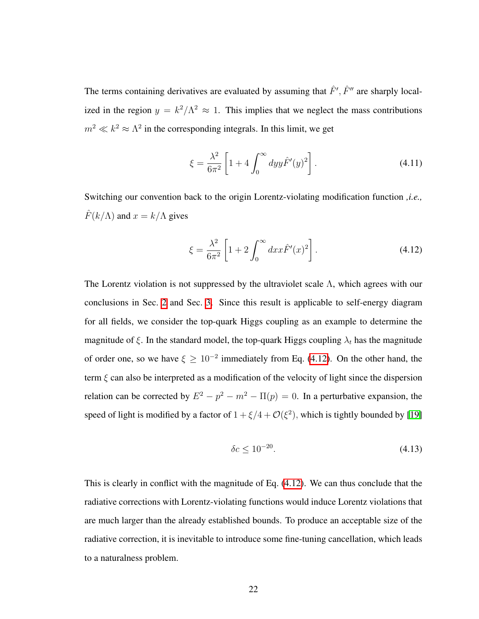The terms containing derivatives are evaluated by assuming that  $\hat{F}$ <sup>'</sup>,  $\hat{F}$ <sup>''</sup> are sharply localized in the region  $y = k^2/\Lambda^2 \approx 1$ . This implies that we neglect the mass contributions  $m^2 \ll k^2 \approx \Lambda^2$  in the corresponding integrals. In this limit, we get

$$
\xi = \frac{\lambda^2}{6\pi^2} \left[ 1 + 4 \int_0^\infty dy y \hat{F}'(y)^2 \right]. \tag{4.11}
$$

Switching our convention back to the origin Lorentz-violating modification function *,i.e.,*  $\hat{F}(k/\Lambda)$  and  $x = k/\Lambda$  gives

<span id="page-26-0"></span>
$$
\xi = \frac{\lambda^2}{6\pi^2} \left[ 1 + 2 \int_0^\infty dx x \hat{F}'(x)^2 \right]. \tag{4.12}
$$

The Lorentz violation is not suppressed by the ultraviolet scale  $\Lambda$ , which agrees with our conclusions in Sec.  $\boxed{2}$  and Sec.  $\boxed{3}$ . Since this result is applicable to self-energy diagram for all fields, we consider the top-quark Higgs coupling as an example to determine the magnitude of  $\xi$ . In the standard model, the top-quark Higgs coupling  $\lambda_t$  has the magnitude of order one, so we have  $\xi \ge 10^{-2}$  immediately from Eq. [\(4.12\)](#page-26-0). On the other hand, the term  $\xi$  can also be interpreted as a modification of the velocity of light since the dispersion relation can be corrected by  $E^2 - p^2 - m^2 - \Pi(p) = 0$ . In a perturbative expansion, the speed of light is modified by a factor of  $1 + \xi/4 + \mathcal{O}(\xi^2)$ , which is tightly bounded by [\[19\]](#page-34-1)

$$
\delta c \le 10^{-20}.\tag{4.13}
$$

This is clearly in conflict with the magnitude of Eq.  $(4.12)$ . We can thus conclude that the radiative corrections with Lorentz-violating functions would induce Lorentz violations that are much larger than the already established bounds. To produce an acceptable size of the radiative correction, it is inevitable to introduce some fine-tuning cancellation, which leads to a naturalness problem.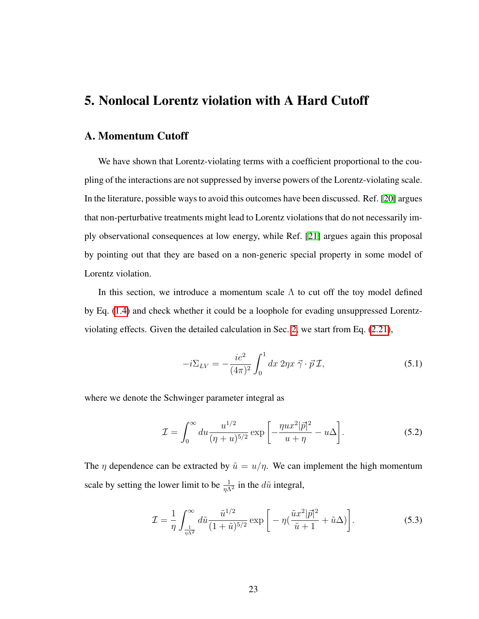### <span id="page-27-0"></span>5. Nonlocal Lorentz violation with A Hard Cutoff

#### <span id="page-27-1"></span>A. Momentum Cutoff

We have shown that Lorentz-violating terms with a coefficient proportional to the coupling of the interactions are not suppressed by inverse powers of the Lorentz-violating scale. In the literature, possible ways to avoid this outcomes have been discussed. Ref. [\[20\]](#page-34-2) argues that non-perturbative treatments might lead to Lorentz violations that do not necessarily imply observational consequences at low energy, while Ref. [\[21\]](#page-34-3) argues again this proposal by pointing out that they are based on a non-generic special property in some model of Lorentz violation.

In this section, we introduce a momentum scale  $\Lambda$  to cut off the toy model defined by Eq. [\(1.4\)](#page-9-0) and check whether it could be a loophole for evading unsuppressed Lorentzviolating effects. Given the detailed calculation in Sec.  $\sqrt{2}$ , we start from Eq.  $(2.21)$ ,

$$
-i\Sigma_{LV} = -\frac{ie^2}{(4\pi)^2} \int_0^1 dx \ 2\eta x \ \vec{\gamma} \cdot \vec{p} \mathcal{I},\tag{5.1}
$$

where we denote the Schwinger parameter integral as

$$
\mathcal{I} = \int_0^\infty du \frac{u^{1/2}}{(\eta + u)^{5/2}} \exp\left[-\frac{\eta ux^2|\vec{p}|^2}{u + \eta} - u\Delta\right].\tag{5.2}
$$

The  $\eta$  dependence can be extracted by  $\tilde{u} = u/\eta$ . We can implement the high momentum scale by setting the lower limit to be  $\frac{1}{\eta \Lambda^2}$  in the  $d\tilde{u}$  integral,

$$
\mathcal{I} = \frac{1}{\eta} \int_{\frac{1}{\eta \Lambda^2}}^{\infty} d\tilde{u} \frac{\tilde{u}^{1/2}}{(1+\tilde{u})^{5/2}} \exp\left[-\eta(\frac{\tilde{u}x^2|\vec{p}|^2}{\tilde{u}+1} + \tilde{u}\Delta)\right].
$$
 (5.3)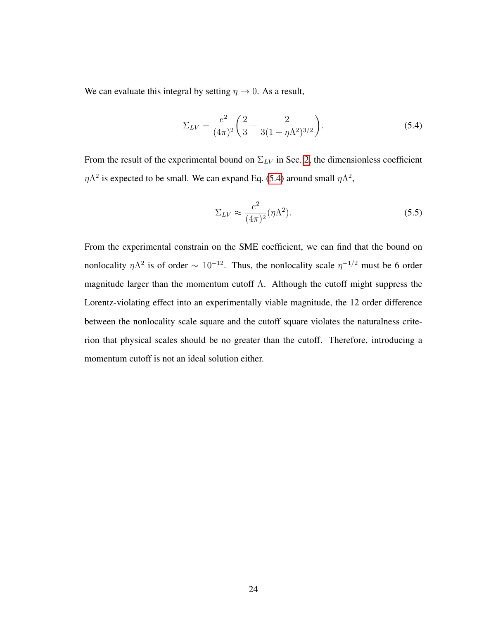We can evaluate this integral by setting  $\eta \to 0$ . As a result,

$$
\Sigma_{LV} = \frac{e^2}{(4\pi)^2} \left(\frac{2}{3} - \frac{2}{3(1 + \eta\Lambda^2)^{3/2}}\right). \tag{5.4}
$$

From the result of the experimental bound on  $\Sigma_{LV}$  in Sec.  $\overline{2}$ , the dimensionless coefficient  $\eta\Lambda^2$  is expected to be small. We can expand Eq. [\(5.4\)](#page-28-0) around small  $\eta\Lambda^2$ ,

<span id="page-28-0"></span>
$$
\Sigma_{LV} \approx \frac{e^2}{(4\pi)^2} (\eta \Lambda^2). \tag{5.5}
$$

From the experimental constrain on the SME coefficient, we can find that the bound on nonlocality  $\eta \Lambda^2$  is of order  $\sim 10^{-12}$ . Thus, the nonlocality scale  $\eta^{-1/2}$  must be 6 order magnitude larger than the momentum cutoff  $\Lambda$ . Although the cutoff might suppress the Lorentz-violating effect into an experimentally viable magnitude, the 12 order difference between the nonlocality scale square and the cutoff square violates the naturalness criterion that physical scales should be no greater than the cutoff. Therefore, introducing a momentum cutoff is not an ideal solution either.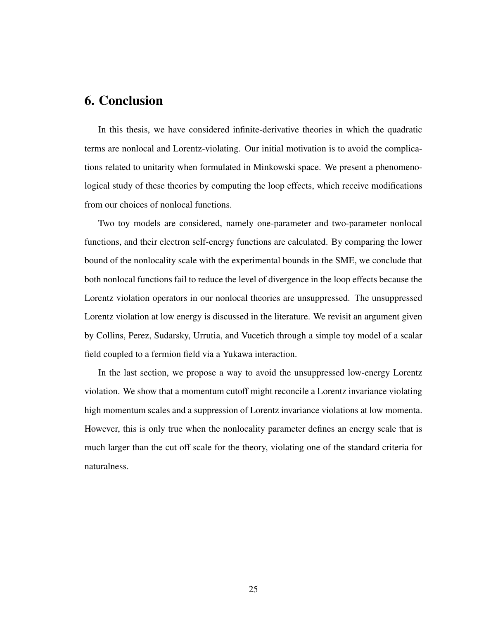### <span id="page-29-0"></span>6. Conclusion

In this thesis, we have considered infinite-derivative theories in which the quadratic terms are nonlocal and Lorentz-violating. Our initial motivation is to avoid the complications related to unitarity when formulated in Minkowski space. We present a phenomenological study of these theories by computing the loop effects, which receive modifications from our choices of nonlocal functions.

Two toy models are considered, namely one-parameter and two-parameter nonlocal functions, and their electron self-energy functions are calculated. By comparing the lower bound of the nonlocality scale with the experimental bounds in the SME, we conclude that both nonlocal functions fail to reduce the level of divergence in the loop effects because the Lorentz violation operators in our nonlocal theories are unsuppressed. The unsuppressed Lorentz violation at low energy is discussed in the literature. We revisit an argument given by Collins, Perez, Sudarsky, Urrutia, and Vucetich through a simple toy model of a scalar field coupled to a fermion field via a Yukawa interaction.

In the last section, we propose a way to avoid the unsuppressed low-energy Lorentz violation. We show that a momentum cutoff might reconcile a Lorentz invariance violating high momentum scales and a suppression of Lorentz invariance violations at low momenta. However, this is only true when the nonlocality parameter defines an energy scale that is much larger than the cut off scale for the theory, violating one of the standard criteria for naturalness.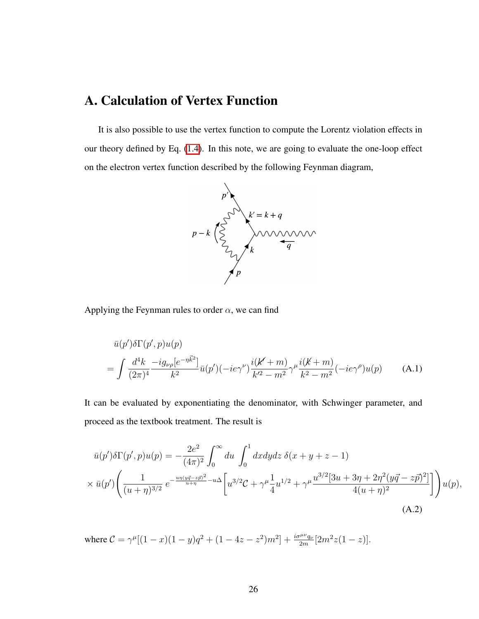### <span id="page-30-0"></span>A. Calculation of Vertex Function

It is also possible to use the vertex function to compute the Lorentz violation effects in our theory defined by Eq.  $(1.4)$ . In this note, we are going to evaluate the one-loop effect on the electron vertex function described by the following Feynman diagram,



Applying the Feynman rules to order  $\alpha$ , we can find

$$
\bar{u}(p')\delta\Gamma(p',p)u(p) = \int \frac{d^4k}{(2\pi)^4} \frac{-ig_{\nu\rho}[e^{-\eta \vec{k}^2}]}{k^2} \bar{u}(p')(-ie\gamma^{\nu})\frac{i(k'+m)}{k'^2-m^2}\gamma^{\mu}\frac{i(k+m)}{k^2-m^2}(-ie\gamma^{\rho})u(p) \tag{A.1}
$$

It can be evaluated by exponentiating the denominator, with Schwinger parameter, and proceed as the textbook treatment. The result is

$$
\bar{u}(p')\delta\Gamma(p',p)u(p) = -\frac{2e^2}{(4\pi)^2} \int_0^\infty du \int_0^1 dx dy dz \ \delta(x+y+z-1)
$$
  
 
$$
\times \bar{u}(p')\left(\frac{1}{(u+\eta)^{3/2}}e^{-\frac{u\eta(y\vec{q}-z\vec{p})^2}{u+\eta}-u\Delta}\left[u^{3/2}C+\gamma^{\mu}\frac{1}{4}u^{1/2}+\gamma^{\mu}\frac{u^{3/2}[3u+3\eta+2\eta^2(y\vec{q}-z\vec{p})^2]}{4(u+\eta)^2}\right]\right)u(p),\tag{A.2}
$$

where  $C = \gamma^{\mu}[(1-x)(1-y)q^2 + (1-4z-z^2)m^2] + \frac{i\sigma^{\mu\nu}q_{\nu}}{2m}[2m^2z(1-z)].$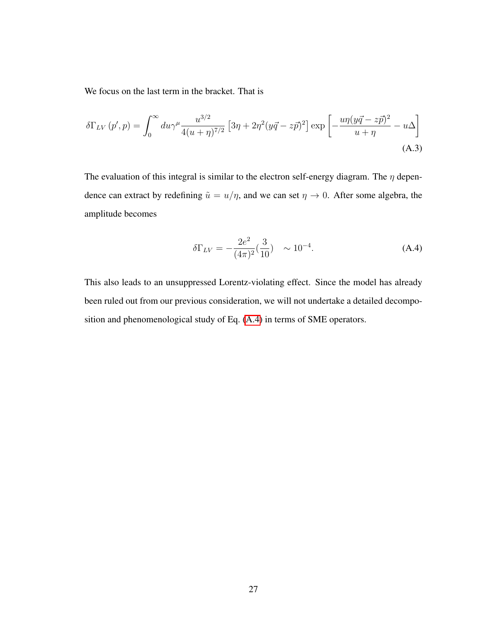We focus on the last term in the bracket. That is

$$
\delta\Gamma_{LV}(p',p) = \int_0^\infty du \gamma^\mu \frac{u^{3/2}}{4(u+\eta)^{7/2}} \left[3\eta + 2\eta^2(y\vec{q} - z\vec{p})^2\right] \exp\left[-\frac{u\eta(y\vec{q} - z\vec{p})^2}{u+\eta} - u\Delta\right]
$$
\n(A.3)

The evaluation of this integral is similar to the electron self-energy diagram. The  $\eta$  dependence can extract by redefining  $\tilde{u} = u/\eta$ , and we can set  $\eta \to 0$ . After some algebra, the amplitude becomes

<span id="page-31-0"></span>
$$
\delta\Gamma_{LV} = -\frac{2e^2}{(4\pi)^2} \left(\frac{3}{10}\right) \quad \sim 10^{-4}.\tag{A.4}
$$

This also leads to an unsuppressed Lorentz-violating effect. Since the model has already been ruled out from our previous consideration, we will not undertake a detailed decomposition and phenomenological study of Eq.  $(A.4)$  in terms of SME operators.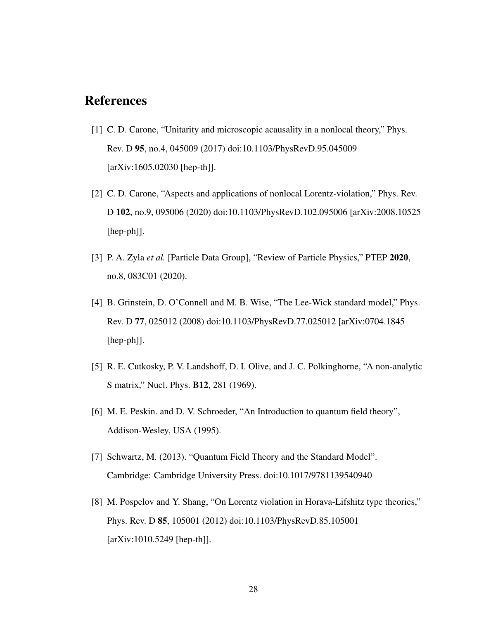### References

- <span id="page-32-2"></span>[1] C. D. Carone, "Unitarity and microscopic acausality in a nonlocal theory," Phys. Rev. D 95, no.4, 045009 (2017) doi:10.1103/PhysRevD.95.045009 [arXiv:1605.02030 [hep-th]].
- <span id="page-32-5"></span>[2] C. D. Carone, "Aspects and applications of nonlocal Lorentz-violation," Phys. Rev. D 102, no.9, 095006 (2020) doi:10.1103/PhysRevD.102.095006 [arXiv:2008.10525 [hep-ph]].
- <span id="page-32-0"></span>[3] P. A. Zyla *et al.* [Particle Data Group], "Review of Particle Physics," PTEP 2020, no.8, 083C01 (2020).
- <span id="page-32-3"></span>[4] B. Grinstein, D. O'Connell and M. B. Wise, "The Lee-Wick standard model," Phys. Rev. D 77, 025012 (2008) doi:10.1103/PhysRevD.77.025012 [arXiv:0704.1845 [hep-ph]].
- <span id="page-32-4"></span>[5] R. E. Cutkosky, P. V. Landshoff, D. I. Olive, and J. C. Polkinghorne, "A non-analytic S matrix," Nucl. Phys. B12, 281 (1969).
- <span id="page-32-6"></span>[6] M. E. Peskin. and D. V. Schroeder, "An Introduction to quantum field theory", Addison-Wesley, USA (1995).
- <span id="page-32-1"></span>[7] Schwartz, M. (2013). "Quantum Field Theory and the Standard Model". Cambridge: Cambridge University Press. doi:10.1017/9781139540940
- [8] M. Pospelov and Y. Shang, "On Lorentz violation in Horava-Lifshitz type theories," Phys. Rev. D 85, 105001 (2012) doi:10.1103/PhysRevD.85.105001 [arXiv:1010.5249 [hep-th]].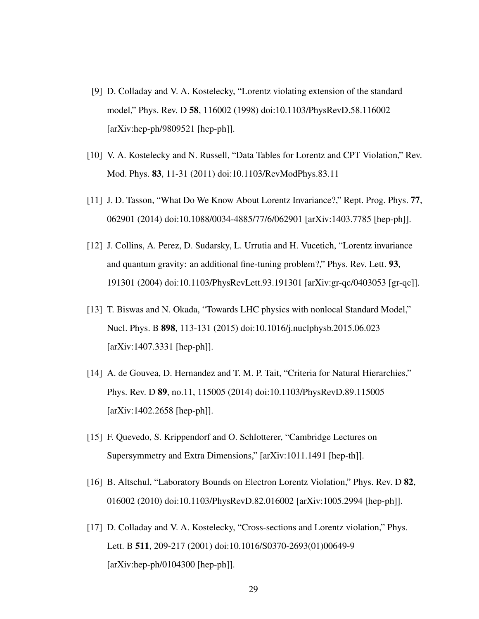- <span id="page-33-4"></span>[9] D. Colladay and V. A. Kostelecky, "Lorentz violating extension of the standard model," Phys. Rev. D 58, 116002 (1998) doi:10.1103/PhysRevD.58.116002 [arXiv:hep-ph/9809521 [hep-ph]].
- <span id="page-33-5"></span>[10] V. A. Kostelecky and N. Russell, "Data Tables for Lorentz and CPT Violation," Rev. Mod. Phys. 83, 11-31 (2011) doi:10.1103/RevModPhys.83.11
- <span id="page-33-3"></span>[11] J. D. Tasson, "What Do We Know About Lorentz Invariance?," Rept. Prog. Phys. 77, 062901 (2014) doi:10.1088/0034-4885/77/6/062901 [arXiv:1403.7785 [hep-ph]].
- <span id="page-33-0"></span>[12] J. Collins, A. Perez, D. Sudarsky, L. Urrutia and H. Vucetich, "Lorentz invariance and quantum gravity: an additional fine-tuning problem?," Phys. Rev. Lett. 93, 191301 (2004) doi:10.1103/PhysRevLett.93.191301 [arXiv:gr-qc/0403053 [gr-qc]].
- <span id="page-33-2"></span>[13] T. Biswas and N. Okada, "Towards LHC physics with nonlocal Standard Model," Nucl. Phys. B 898, 113-131 (2015) doi:10.1016/j.nuclphysb.2015.06.023 [arXiv:1407.3331 [hep-ph]].
- [14] A. de Gouvea, D. Hernandez and T. M. P. Tait, "Criteria for Natural Hierarchies," Phys. Rev. D 89, no.11, 115005 (2014) doi:10.1103/PhysRevD.89.115005 [arXiv:1402.2658 [hep-ph]].
- <span id="page-33-1"></span>[15] F. Quevedo, S. Krippendorf and O. Schlotterer, "Cambridge Lectures on Supersymmetry and Extra Dimensions," [arXiv:1011.1491 [hep-th]].
- <span id="page-33-7"></span>[16] B. Altschul, "Laboratory Bounds on Electron Lorentz Violation," Phys. Rev. D 82, 016002 (2010) doi:10.1103/PhysRevD.82.016002 [arXiv:1005.2994 [hep-ph]].
- <span id="page-33-6"></span>[17] D. Colladay and V. A. Kostelecky, "Cross-sections and Lorentz violation," Phys. Lett. B 511, 209-217 (2001) doi:10.1016/S0370-2693(01)00649-9 [arXiv:hep-ph/0104300 [hep-ph]].